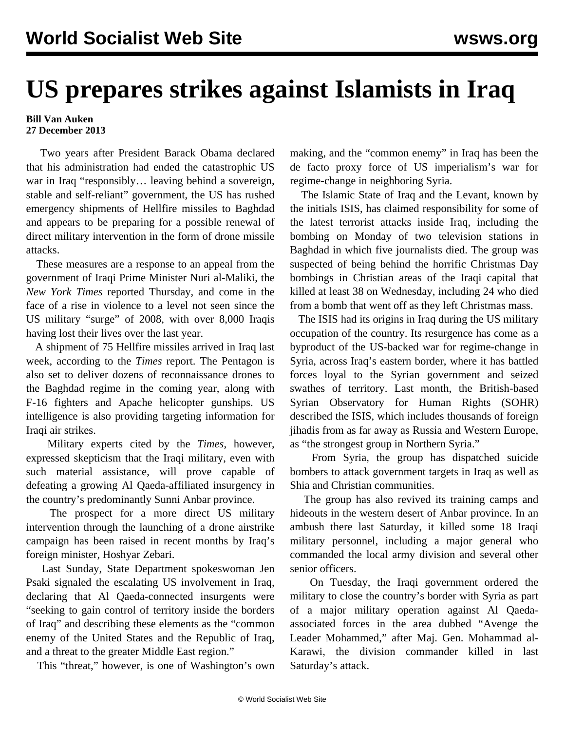## **US prepares strikes against Islamists in Iraq**

## **Bill Van Auken 27 December 2013**

 Two years after President Barack Obama declared that his administration had ended the catastrophic US war in Iraq "responsibly… leaving behind a sovereign, stable and self-reliant" government, the US has rushed emergency shipments of Hellfire missiles to Baghdad and appears to be preparing for a possible renewal of direct military intervention in the form of drone missile attacks.

 These measures are a response to an appeal from the government of Iraqi Prime Minister Nuri al-Maliki, the *New York Times* reported Thursday, and come in the face of a rise in violence to a level not seen since the US military "surge" of 2008, with over 8,000 Iraqis having lost their lives over the last year.

 A shipment of 75 Hellfire missiles arrived in Iraq last week, according to the *Times* report. The Pentagon is also set to deliver dozens of reconnaissance drones to the Baghdad regime in the coming year, along with F-16 fighters and Apache helicopter gunships. US intelligence is also providing targeting information for Iraqi air strikes.

 Military experts cited by the *Times*, however, expressed skepticism that the Iraqi military, even with such material assistance, will prove capable of defeating a growing Al Qaeda-affiliated insurgency in the country's predominantly Sunni Anbar province.

 The prospect for a more direct US military intervention through the launching of a drone airstrike campaign has been raised in recent months by Iraq's foreign minister, Hoshyar Zebari.

 Last Sunday, State Department spokeswoman Jen Psaki signaled the escalating US involvement in Iraq, declaring that Al Qaeda-connected insurgents were "seeking to gain control of territory inside the borders of Iraq" and describing these elements as the "common enemy of the United States and the Republic of Iraq, and a threat to the greater Middle East region."

This "threat," however, is one of Washington's own

making, and the "common enemy" in Iraq has been the de facto proxy force of US imperialism's war for regime-change in neighboring Syria.

 The Islamic State of Iraq and the Levant, known by the initials ISIS, has claimed responsibility for some of the latest terrorist attacks inside Iraq, including the bombing on Monday of two television stations in Baghdad in which five journalists died. The group was suspected of being behind the horrific Christmas Day bombings in Christian areas of the Iraqi capital that killed at least 38 on Wednesday, including 24 who died from a bomb that went off as they left Christmas mass.

 The ISIS had its origins in Iraq during the US military occupation of the country. Its resurgence has come as a byproduct of the US-backed war for regime-change in Syria, across Iraq's eastern border, where it has battled forces loyal to the Syrian government and seized swathes of territory. Last month, the British-based Syrian Observatory for Human Rights (SOHR) described the ISIS, which includes thousands of foreign jihadis from as far away as Russia and Western Europe, as "the strongest group in Northern Syria."

 From Syria, the group has dispatched suicide bombers to attack government targets in Iraq as well as Shia and Christian communities.

 The group has also revived its training camps and hideouts in the western desert of Anbar province. In an ambush there last Saturday, it killed some 18 Iraqi military personnel, including a major general who commanded the local army division and several other senior officers.

 On Tuesday, the Iraqi government ordered the military to close the country's border with Syria as part of a major military operation against Al Qaedaassociated forces in the area dubbed "Avenge the Leader Mohammed," after Maj. Gen. Mohammad al-Karawi, the division commander killed in last Saturday's attack.